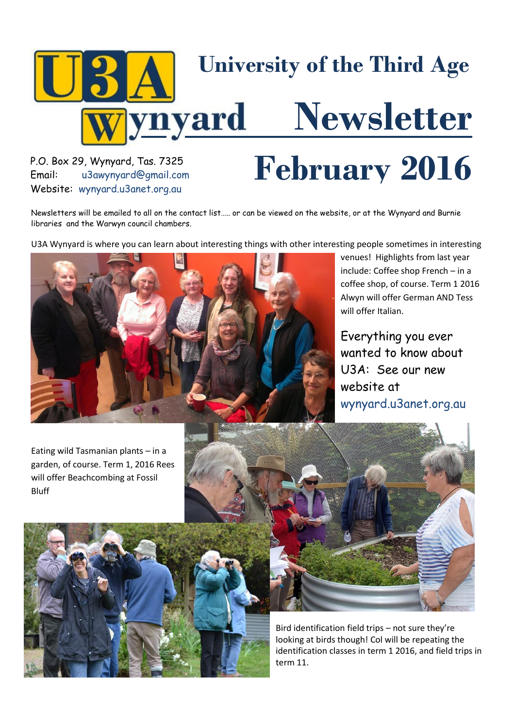

[u3awynyard@gmail.com](mailto:u3awynyard@gmail.com) Website: wynyard.u3anet.org.au

# P.O. Box 29, Wynyard, Tas. 7325<br>Email: u3awynyard@gmail.com **February** 2016

Newsletters will be emailed to all on the contact list….. or can be viewed on the website, or at the Wynyard and Burnie libraries and the Warwyn council chambers.

U3A Wynyard is where you can learn about interesting things with other interesting people sometimes in interesting



venues! Highlights from last year include: Coffee shop French – in a coffee shop, of course. Term 1 2016 Alwyn will offer German AND Tess will offer Italian.

Everything you ever wanted to know about U3A: See our new website at wynyard.u3anet.org.au

Eating wild Tasmanian plants – in a garden, of course. Term 1, 2016 Rees will offer Beachcombing at Fossil Bluff





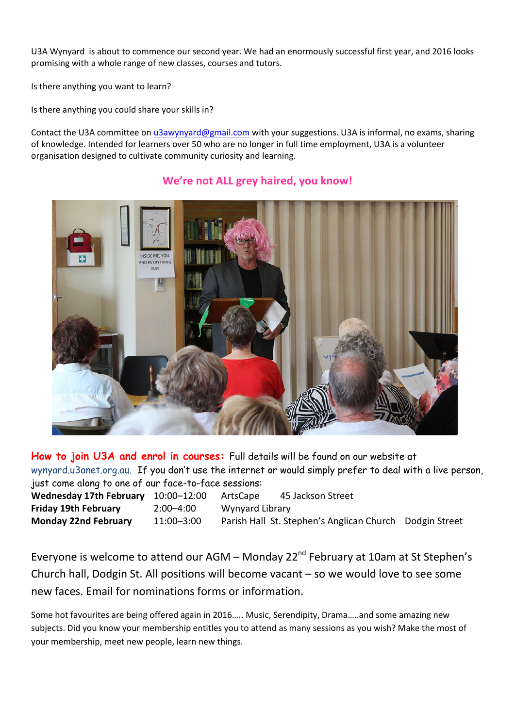U3A Wynyard is about to commence our second year. We had an enormously successful first year, and 2016 looks promising with a whole range of new classes, courses and tutors.

Is there anything you want to learn?

Is there anything you could share your skills in?

Contact the U3A committee o[n u3awynyard@gmail.com](mailto:u3awynyard@gmail.com) with your suggestions. U3A is informal, no exams, sharing of knowledge. Intended for learners over 50 who are no longer in full time employment, U3A is a volunteer organisation designed to cultivate community curiosity and learning.



#### **We're not ALL grey haired, you know!**

**How to join U3A and enrol in courses:** Full details will be found on our website at wynyard.u3anet.org.au. If you don't use the internet or would simply prefer to deal with a live person, just come along to one of our face-to-face sessions:

**Wednesday 17th February** 10:00–12:00 ArtsCape 45 Jackson Street **Friday 19th February** 2:00–4:00 Wynyard Library **Monday 22nd February** 11:00–3:00 Parish Hall St. Stephen's Anglican Church Dodgin Street

Everyone is welcome to attend our AGM – Monday  $22^{nd}$  February at 10am at St Stephen's Church hall, Dodgin St. All positions will become vacant – so we would love to see some new faces. Email for nominations forms or information.

Some hot favourites are being offered again in 2016….. Music, Serendipity, Drama…..and some amazing new subjects. Did you know your membership entitles you to attend as many sessions as you wish? Make the most of your membership, meet new people, learn new things.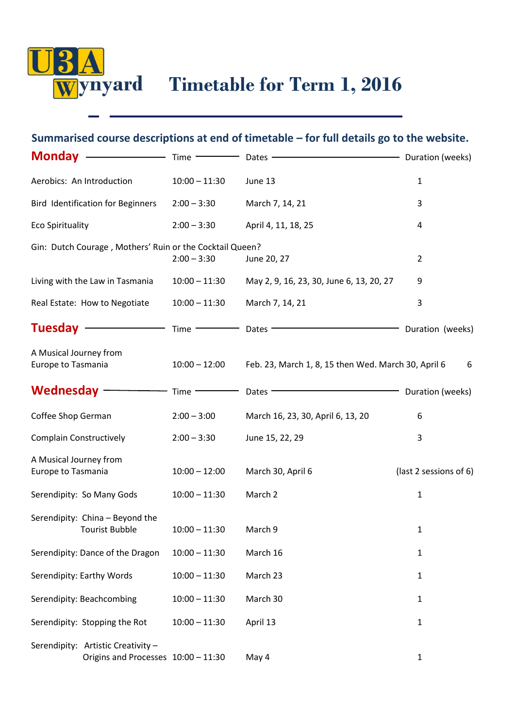

# **Summarised course descriptions at end of timetable – for full details go to the website.**

| Monday -                                                                  | Time -          | Dates -                                             | Duration (weeks)       |
|---------------------------------------------------------------------------|-----------------|-----------------------------------------------------|------------------------|
| Aerobics: An Introduction                                                 | $10:00 - 11:30$ | June 13                                             | $\mathbf 1$            |
| <b>Bird Identification for Beginners</b>                                  | $2:00 - 3:30$   | March 7, 14, 21                                     | 3                      |
| <b>Eco Spirituality</b>                                                   | $2:00 - 3:30$   | April 4, 11, 18, 25                                 | 4                      |
| Gin: Dutch Courage, Mothers' Ruin or the Cocktail Queen?                  | $2:00 - 3:30$   | June 20, 27                                         | $\overline{2}$         |
| Living with the Law in Tasmania                                           | $10:00 - 11:30$ | May 2, 9, 16, 23, 30, June 6, 13, 20, 27            | 9                      |
| Real Estate: How to Negotiate                                             | $10:00 - 11:30$ | March 7, 14, 21                                     | 3                      |
| Tuesday $-$                                                               | $Time -$        | Dates -                                             | Duration (weeks)       |
| A Musical Journey from<br>Europe to Tasmania                              | $10:00 - 12:00$ | Feb. 23, March 1, 8, 15 then Wed. March 30, April 6 | 6                      |
| Wednesday $-$                                                             | Time -          | Dates -                                             | Duration (weeks)       |
| Coffee Shop German                                                        | $2:00 - 3:00$   | March 16, 23, 30, April 6, 13, 20                   | 6                      |
| <b>Complain Constructively</b>                                            | $2:00 - 3:30$   | June 15, 22, 29                                     | 3                      |
| A Musical Journey from<br>Europe to Tasmania                              | $10:00 - 12:00$ | March 30, April 6                                   | (last 2 sessions of 6) |
| Serendipity: So Many Gods                                                 | $10:00 - 11:30$ | March 2                                             | $\mathbf 1$            |
| Serendipity: China - Beyond the<br><b>Tourist Bubble</b>                  | $10:00 - 11:30$ | March 9                                             | $\mathbf{1}$           |
| Serendipity: Dance of the Dragon                                          | $10:00 - 11:30$ | March 16                                            | $\mathbf{1}$           |
| Serendipity: Earthy Words                                                 | $10:00 - 11:30$ | March 23                                            | $\mathbf{1}$           |
| Serendipity: Beachcombing                                                 | $10:00 - 11:30$ | March 30                                            | $\mathbf{1}$           |
| Serendipity: Stopping the Rot                                             | $10:00 - 11:30$ | April 13                                            | $\mathbf{1}$           |
| Serendipity: Artistic Creativity -<br>Origins and Processes 10:00 - 11:30 |                 | May 4                                               | $\mathbf{1}$           |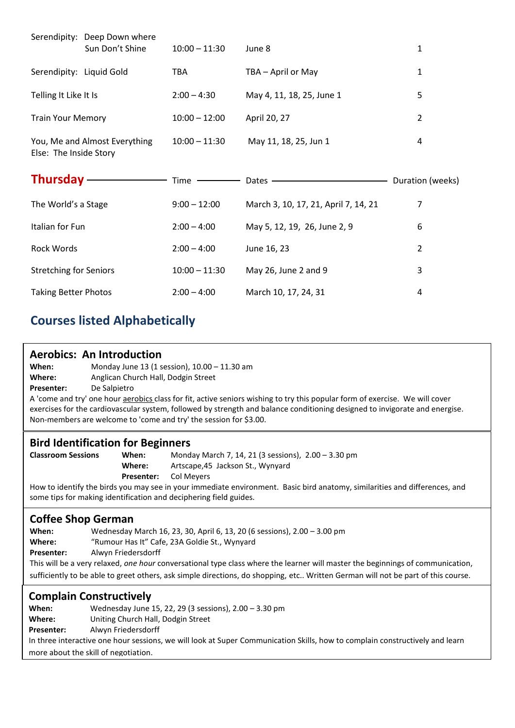|                               | Serendipity: Deep Down where<br>Sun Don't Shine | $10:00 - 11:30$ | June 8                               | $\mathbf{1}$     |
|-------------------------------|-------------------------------------------------|-----------------|--------------------------------------|------------------|
| Serendipity: Liquid Gold      |                                                 | TBA             | TBA - April or May                   | $\mathbf{1}$     |
| Telling It Like It Is         |                                                 | $2:00 - 4:30$   | May 4, 11, 18, 25, June 1            | 5                |
| <b>Train Your Memory</b>      |                                                 | $10:00 - 12:00$ | April 20, 27                         | $\overline{2}$   |
| Else: The Inside Story        | You, Me and Almost Everything                   | $10:00 - 11:30$ | May 11, 18, 25, Jun 1                | 4                |
|                               |                                                 |                 |                                      |                  |
| <b>Thursday</b>               |                                                 | Time            | Dates $-$                            | Duration (weeks) |
| The World's a Stage           |                                                 | $9:00 - 12:00$  | March 3, 10, 17, 21, April 7, 14, 21 | 7                |
| Italian for Fun               |                                                 | $2:00 - 4:00$   | May 5, 12, 19, 26, June 2, 9         | 6                |
| <b>Rock Words</b>             |                                                 | $2:00 - 4:00$   | June 16, 23                          | $\overline{2}$   |
| <b>Stretching for Seniors</b> |                                                 | $10:00 - 11:30$ | May 26, June 2 and 9                 | 3                |

# **Courses listed Alphabetically**

#### **Aerobics: An Introduction**

**When:** Monday June 13 (1 session), 10.00 – 11.30 am

**Where:** Anglican Church Hall, Dodgin Street

**Presenter:** De Salpietro

A 'come and try' one hour aerobics class for fit, active seniors wishing to try this popular form of exercise. We will cover exercises for the cardiovascular system, followed by strength and balance conditioning designed to invigorate and energise. Non-members are welcome to 'come and try' the session for \$3.00.

#### **Bird Identification for Beginners**

**Classroom Sessions When:** Monday March 7, 14, 21 (3 sessions), 2.00 – 3.30 pm **Where:** Artscape,45 Jackson St., Wynyard **Presenter:** Col Meyers

How to identify the birds you may see in your immediate environment. Basic bird anatomy, similarities and differences, and some tips for making identification and deciphering field guides.

#### **Coffee Shop German**

**When:** Wednesday March 16, 23, 30, April 6, 13, 20 (6 sessions), 2.00 – 3.00 pm **Where:** "Rumour Has It" Cafe, 23A Goldie St., Wynyard **When:**

**Alwyn Friedersdorff** Presenter:

This will be a very relaxed, *one hour* conversational type class where the learner will master the beginnings of communication, **Presenter:** sufficiently to be able to greet others, ask simple directions, do shopping, etc.. Written German will not be part of this course.

#### **Complain Constructively**

**When:** Wednesday June 15, 22, 29 (3 sessions), 2.00 – 3.30 pm **Where:** Uniting Church Hall, Dodgin Street **Presenter:** Alwyn Friedersdorff In three interactive one hour sessions, we will look at Super Communication Skills, how to complain constructively and learn

more about the skill of negotiation.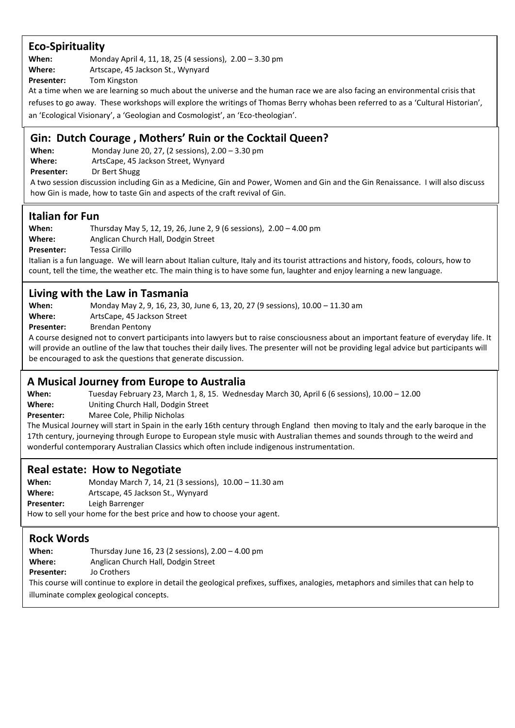#### **Eco-Spirituality**

**When:** Monday April 4, 11, 18, 25 (4 sessions), 2.00 – 3.30 pm

Where: Artscape, 45 Jackson St., Wynyard

**Presenter:** Tom Kingston

At a time when we are learning so much about the universe and the human race we are also facing an environmental crisis that

refuses to go away. These workshops will explore the writings of Thomas Berry whohas been referred to as a 'Cultural Historian', an 'Ecological Visionary', a 'Geologian and Cosmologist', an 'Eco-theologian'.

#### **Gin: Dutch Courage , Mothers' Ruin or the Cocktail Queen?**

**When:** Monday June 20, 27, (2 sessions), 2.00 – 3.30 pm **Where:** ArtsCape, 45 Jackson Street, Wynyard

**Presenter:** Dr Bert Shugg

A two session discussion including Gin as a Medicine, Gin and Power, Women and Gin and the Gin Renaissance. I will also discuss how Gin is made, how to taste Gin and aspects of the craft revival of Gin.

#### **Italian for Fun**

**When:** Thursday May 5, 12, 19, 26, June 2, 9 (6 sessions), 2.00 – 4.00 pm **Where:** Anglican Church Hall, Dodgin Street **Presenter:** Tessa Cirillo

Italian is a fun language. We will learn about Italian culture, Italy and its tourist attractions and history, foods, colours, how to count, tell the time, the weather etc. The main thing is to have some fun, laughter and enjoy learning a new language.

#### **Living with the Law in Tasmania**

**When:** Monday May 2, 9, 16, 23, 30, June 6, 13, 20, 27 (9 sessions), 10.00 – 11.30 am **Where:** ArtsCape, 45 Jackson Street

Presenter: Brendan Pentony

A course designed not to convert participants into lawyers but to raise consciousness about an important feature of everyday life. It will provide an outline of the law that touches their daily lives. The presenter will not be providing legal advice but participants will be encouraged to ask the questions that generate discussion.

#### **A Musical Journey from Europe to Australia**

**When:** Tuesday February 23, March 1, 8, 15. Wednesday March 30, April 6 (6 sessions), 10.00 – 12.00 **Where:** Uniting Church Hall, Dodgin Street

**Presenter:** Maree Cole, Philip Nicholas

The Musical Journey will start in Spain in the early 16th century through England then moving to Italy and the early baroque in the 17th century, journeying through Europe to European style music with Australian themes and sounds through to the weird and wonderful contemporary Australian Classics which often include indigenous instrumentation.

#### **Real estate: How to Negotiate**

**When:** Monday March 7, 14, 21 (3 sessions), 10.00 – 11.30 am Where: Artscape, 45 Jackson St., Wynyard **Presenter:** Leigh Barrenger How to sell your home for the best price and how to choose your agent.

#### **Rock Words**

**When:** Thursday June 16, 23 (2 sessions), 2.00 – 4.00 pm **Where:** Anglican Church Hall, Dodgin Street **Presenter:** Jo Crothers This course will continue to explore in detail the geological prefixes, suffixes, analogies, metaphors and similes that can help to

illuminate complex geological concepts.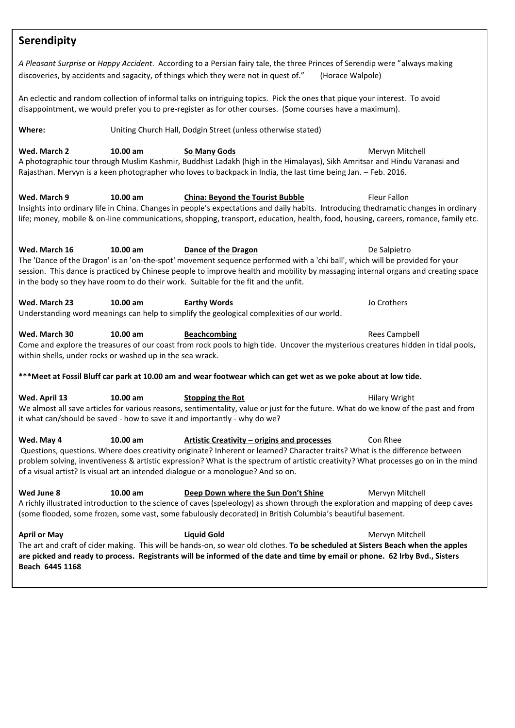### **Serendipity**

*A Pleasant Surprise* or *Happy Accident*. According to a Persian fairy tale, the three Princes of Serendip were "always making discoveries, by accidents and sagacity, of things which they were not in quest of." (Horace Walpole)

An eclectic and random collection of informal talks on intriguing topics. Pick the ones that pique your interest. To avoid disappointment, we would prefer you to pre-register as for other courses. (Some courses have a maximum).

| Where:       | Uniting Church Hall, Dodgin Street (unless otherwise stated) |              |                 |  |
|--------------|--------------------------------------------------------------|--------------|-----------------|--|
| Wed. March 2 | $10.00$ am                                                   | So Many Gods | Mervyn Mitchell |  |

A photographic tour through Muslim Kashmir, Buddhist Ladakh (high in the Himalayas), Sikh Amritsar and Hindu Varanasi and Rajasthan. Mervyn is a keen photographer who loves to backpack in India, the last time being Jan. – Feb. 2016.

**Wed. March 9 10.00 am China: Beyond the Tourist Bubble** Fleur Fallon Insights into ordinary life in China. Changes in people's expectations and daily habits. Introducing thedramatic changes in ordinary life; money, mobile & on-line communications, shopping, transport, education, health, food, housing, careers, romance, family etc.

**Wed. March 16 10.00 am Dance of the Dragon De Salpietro** De Salpietro The 'Dance of the Dragon' is an 'on-the-spot' movement sequence performed with a 'chi ball', which will be provided for your session. This dance is practiced by Chinese people to improve health and mobility by massaging internal organs and creating space in the body so they have room to do their work. Suitable for the fit and the unfit.

Understanding word meanings can help to simplify the geological complexities of our world. **Wed. March 30 10.00 am Beachcombing** Rees Campbell

Come and explore the treasures of our coast from rock pools to high tide. Uncover the mysterious creatures hidden in tidal pools, within shells, under rocks or washed up in the sea wrack.

**\*\*\*Meet at Fossil Bluff car park at 10.00 am and wear footwear which can get wet as we poke about at low tide.**

**Wed. April 13 10.00 am Stopping the Rot** Hilary Wright We almost all save articles for various reasons, sentimentality, value or just for the future. What do we know of the past and from it what can/should be saved - how to save it and importantly - why do we?

**Wed. May 4 10.00 am Artistic Creativity – origins and processes** Con Rhee Questions, questions. Where does creativity originate? Inherent or learned? Character traits? What is the difference between problem solving, inventiveness & artistic expression? What is the spectrum of artistic creativity? What processes go on in the mind of a visual artist? Is visual art an intended dialogue or a monologue? And so on.

**Wed June 8 10.00 am Deep Down where the Sun Don't Shine** Mervyn Mitchell A richly illustrated introduction to the science of caves (speleology) as shown through the exploration and mapping of deep caves (some flooded, some frozen, some vast, some fabulously decorated) in British Columbia's beautiful basement.

**April or May Liquid Gold Liquid Gold Mervyn Mitchell** The art and craft of cider making. This will be hands-on, so wear old clothes. **To be scheduled at Sisters Beach when the apples are picked and ready to process. Registrants will be informed of the date and time by email or phone. 62 Irby Bvd., Sisters Beach 6445 1168**

**Wed. March 23 10.00 am Earthy Words** Jo Crothers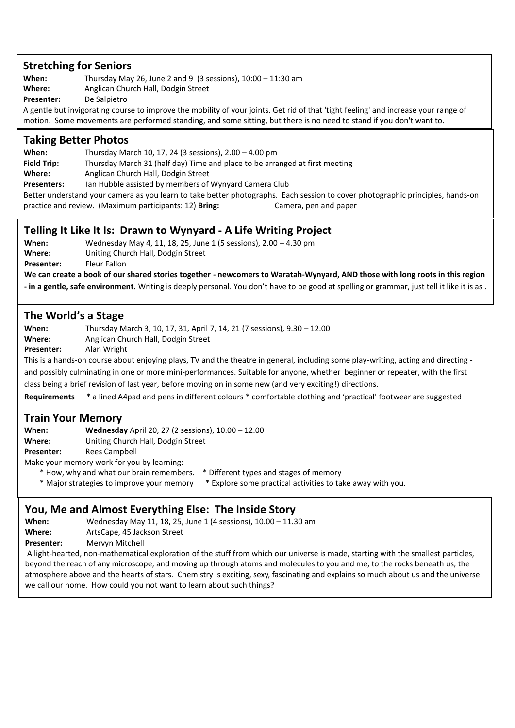#### **Stretching for Seniors**

**When:** Thursday May 26, June 2 and 9 (3 sessions), 10:00 – 11:30 am **Where:** Anglican Church Hall, Dodgin Street

**Presenter:** De Salpietro

A gentle but invigorating course to improve the mobility of your joints. Get rid of that 'tight feeling' and increase your range of motion. Some movements are performed standing, and some sitting, but there is no need to stand if you don't want to.

#### **Taking Better Photos**

**When:** Thursday March 10, 17, 24 (3 sessions), 2.00 – 4.00 pm

**Field Trip:** Thursday March 31 (half day) Time and place to be arranged at first meeting

**Where:** Anglican Church Hall, Dodgin Street

**Presenters:** Ian Hubble assisted by members of Wynyard Camera Club

Better understand your camera as you learn to take better photographs. Each session to cover photographic principles, hands-on practice and review. (Maximum participants: 12) **Bring:** Camera, pen and paper

#### **Telling It Like It Is: Drawn to Wynyard - A Life Writing Project**

**When:** Wednesday May 4, 11, 18, 25, June 1 (5 sessions), 2.00 – 4.30 pm **Where:** Uniting Church Hall, Dodgin Street Presenter: Fleur Fallon

**We can create a book of our shared stories together - newcomers to Waratah-Wynyard, AND those with long roots in this region** 

**- in a gentle, safe environment.** Writing is deeply personal. You don't have to be good at spelling or grammar, just tell it like it is as .

#### **The World's a Stage**

**When:** Thursday March 3, 10, 17, 31, April 7, 14, 21 (7 sessions), 9.30 – 12.00 **Where:** Anglican Church Hall, Dodgin Street **Presenter:** Alan Wright This is a hands-on course about enjoying plays, TV and the theatre in general, including some play-writing, acting and directing -

and possibly culminating in one or more mini-performances. Suitable for anyone, whether beginner or repeater, with the first class being a brief revision of last year, before moving on in some new (and very exciting!) directions.

**Requirements** \* a lined A4pad and pens in different colours \* comfortable clothing and 'practical' footwear are suggested

#### **Train Your Memory**

.

**When: Wednesday** April 20, 27 (2 sessions), 10.00 – 12.00

**Where:** Uniting Church Hall, Dodgin Street

**Presenter:** Rees Campbell

Make your memory work for you by learning:

- \* How, why and what our brain remembers. \* Different types and stages of memory
- \* Major strategies to improve your memory \* Explore some practical activities to take away with you.

## **You, Me and Almost Everything Else: The Inside Story**

**When:** Wednesday May 11, 18, 25, June 1 (4 sessions), 10.00 – 11.30 am

**Where:** ArtsCape, 45 Jackson Street

Presenter: Mervyn Mitchell

A light-hearted, non-mathematical exploration of the stuff from which our universe is made, starting with the smallest particles, beyond the reach of any microscope, and moving up through atoms and molecules to you and me, to the rocks beneath us, the atmosphere above and the hearts of stars. Chemistry is exciting, sexy, fascinating and explains so much about us and the universe we call our home. How could you not want to learn about such things?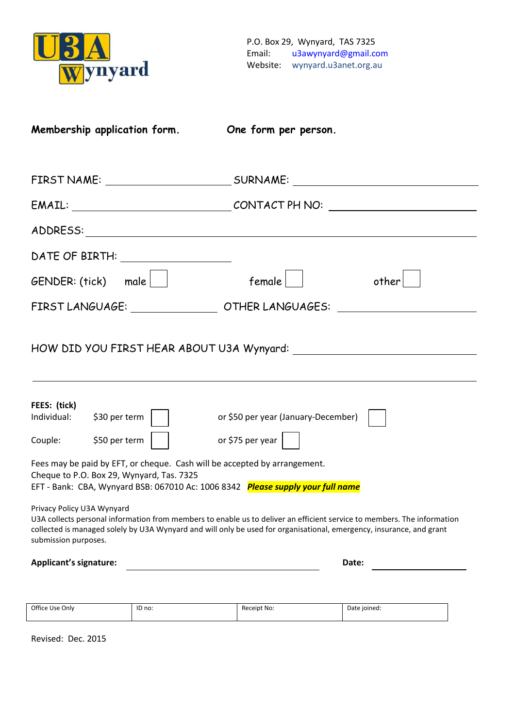

| Membership application form.                                                                                                                                                                                                                                                                          | One form per person.                 |       |
|-------------------------------------------------------------------------------------------------------------------------------------------------------------------------------------------------------------------------------------------------------------------------------------------------------|--------------------------------------|-------|
|                                                                                                                                                                                                                                                                                                       |                                      |       |
|                                                                                                                                                                                                                                                                                                       |                                      |       |
|                                                                                                                                                                                                                                                                                                       |                                      |       |
|                                                                                                                                                                                                                                                                                                       |                                      |       |
| $GENDER: (tick)$ male $\vert$                                                                                                                                                                                                                                                                         | $f$ emale $ $                        | other |
| FIRST LANGUAGE: ______________________OTHER LANGUAGES: _________________________                                                                                                                                                                                                                      |                                      |       |
| FEES: (tick)                                                                                                                                                                                                                                                                                          |                                      |       |
| Individual: \$30 per term                                                                                                                                                                                                                                                                             | or \$50 per year (January-December)  |       |
| Couple: $$50$ per term $  \cdot  $                                                                                                                                                                                                                                                                    | or \$75 per year $\vert \quad \vert$ |       |
| Fees may be paid by EFT, or cheque. Cash will be accepted by arrangement.<br>Cheque to P.O. Box 29, Wynyard, Tas. 7325<br>EFT - Bank: CBA, Wynyard BSB: 067010 Ac: 1006 8342 Please supply your full name                                                                                             |                                      |       |
| Privacy Policy U3A Wynyard<br>U3A collects personal information from members to enable us to deliver an efficient service to members. The information<br>collected is managed solely by U3A Wynyard and will only be used for organisational, emergency, insurance, and grant<br>submission purposes. |                                      |       |
| <b>Applicant's signature:</b>                                                                                                                                                                                                                                                                         | Date:                                |       |
|                                                                                                                                                                                                                                                                                                       |                                      |       |

| Office Use Only | ID no: | Receipt No: | Date joined: |
|-----------------|--------|-------------|--------------|
|                 |        |             |              |

Revised: Dec. 2015